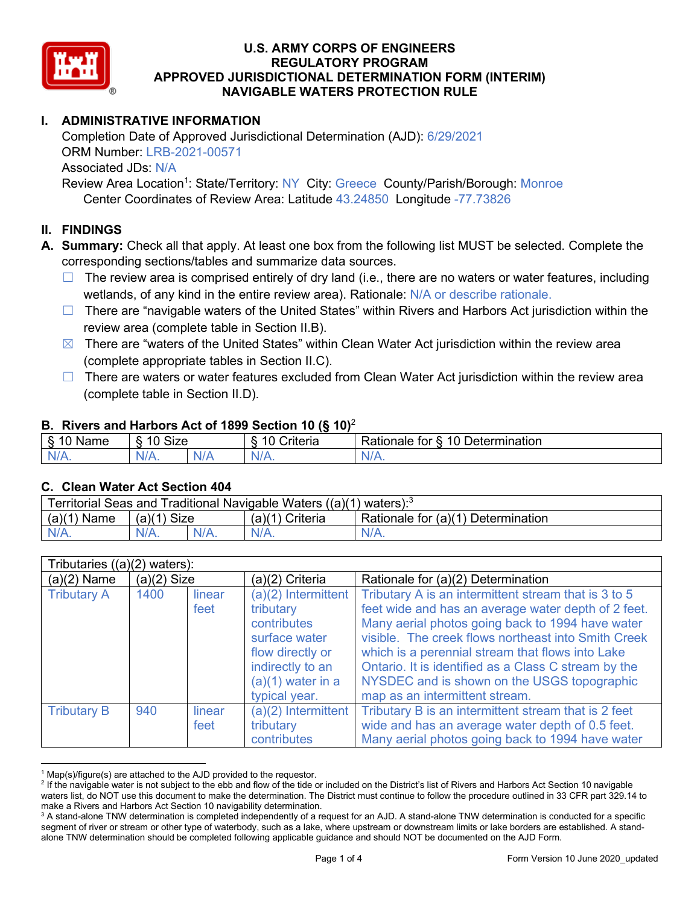

# **I. ADMINISTRATIVE INFORMATION**

Completion Date of Approved Jurisdictional Determination (AJD): 6/29/2021 ORM Number: LRB-2021-00571 Associated JDs: N/A Review Area Location<sup>1</sup>: State/Territory: NY City: Greece County/Parish/Borough: Monroe

Center Coordinates of Review Area: Latitude 43.24850 Longitude -77.73826

## **II. FINDINGS**

**A. Summary:** Check all that apply. At least one box from the following list MUST be selected. Complete the corresponding sections/tables and summarize data sources.

- $\Box$  The review area is comprised entirely of dry land (i.e., there are no waters or water features, including wetlands, of any kind in the entire review area). Rationale: N/A or describe rationale.
- $\Box$  There are "navigable waters of the United States" within Rivers and Harbors Act jurisdiction within the review area (complete table in Section II.B).
- $\boxtimes$  There are "waters of the United States" within Clean Water Act jurisdiction within the review area (complete appropriate tables in Section II.C).
- □ There are waters or water features excluded from Clean Water Act jurisdiction within the review area (complete table in Section II.D).

#### **B. Rivers and Harbors Act of 1899 Section 10 (§ 10)**<sup>2</sup>

| $\cdot$                                |            |     |                          |                                                         |  |  |
|----------------------------------------|------------|-----|--------------------------|---------------------------------------------------------|--|--|
| $\sim$<br>100 <sup>2</sup><br>ame<br>v | Size<br>10 |     | .<br>10<br>-<br>∶riteria | ∽<br>-<br>$\Delta$<br>Rationale<br>Jetermination<br>tor |  |  |
| $N/A$ .                                | $N/A$ .    | N/r | $N/A$ .                  | 'NL<br>$\mathbf{v}$                                     |  |  |

#### **C. Clean Water Act Section 404**

| Territorial Seas and Traditional Navigable Waters $((a)(1)$ waters): <sup>3</sup> |                |  |                 |                                    |  |  |
|-----------------------------------------------------------------------------------|----------------|--|-----------------|------------------------------------|--|--|
| (a)(1)<br>Name                                                                    | Size<br>(a)(1) |  | (a)(1) Criteria | Rationale for (a)(1) Determination |  |  |
|                                                                                   | $N/A$ .        |  | $N/A$ .         | $N/A$ .                            |  |  |

| Tributaries ((a)(2) waters): |               |                |                                                                                                                                                    |                                                                                                                                                                                                                                                                                                                                                                                                                     |  |  |
|------------------------------|---------------|----------------|----------------------------------------------------------------------------------------------------------------------------------------------------|---------------------------------------------------------------------------------------------------------------------------------------------------------------------------------------------------------------------------------------------------------------------------------------------------------------------------------------------------------------------------------------------------------------------|--|--|
| $(a)(2)$ Name                | $(a)(2)$ Size |                | (a)(2) Criteria                                                                                                                                    | Rationale for (a)(2) Determination                                                                                                                                                                                                                                                                                                                                                                                  |  |  |
| <b>Tributary A</b>           | 1400          | linear<br>feet | $(a)(2)$ Intermittent<br>tributary<br>contributes<br>surface water<br>flow directly or<br>indirectly to an<br>$(a)(1)$ water in a<br>typical year. | Tributary A is an intermittent stream that is 3 to 5<br>feet wide and has an average water depth of 2 feet.<br>Many aerial photos going back to 1994 have water<br>visible. The creek flows northeast into Smith Creek<br>which is a perennial stream that flows into Lake<br>Ontario. It is identified as a Class C stream by the<br>NYSDEC and is shown on the USGS topographic<br>map as an intermittent stream. |  |  |
| <b>Tributary B</b>           | 940           | linear<br>feet | $(a)(2)$ Intermittent<br>tributary<br>contributes                                                                                                  | Tributary B is an intermittent stream that is 2 feet<br>wide and has an average water depth of 0.5 feet.<br>Many aerial photos going back to 1994 have water                                                                                                                                                                                                                                                        |  |  |

 $1$  Map(s)/figure(s) are attached to the AJD provided to the requestor.

<sup>&</sup>lt;sup>2</sup> If the navigable water is not subject to the ebb and flow of the tide or included on the District's list of Rivers and Harbors Act Section 10 navigable waters list, do NOT use this document to make the determination. The District must continue to follow the procedure outlined in 33 CFR part 329.14 to make a Rivers and Harbors Act Section 10 navigability determination.

<sup>&</sup>lt;sup>3</sup> A stand-alone TNW determination is completed independently of a request for an AJD. A stand-alone TNW determination is conducted for a specific segment of river or stream or other type of waterbody, such as a lake, where upstream or downstream limits or lake borders are established. A standalone TNW determination should be completed following applicable guidance and should NOT be documented on the AJD Form.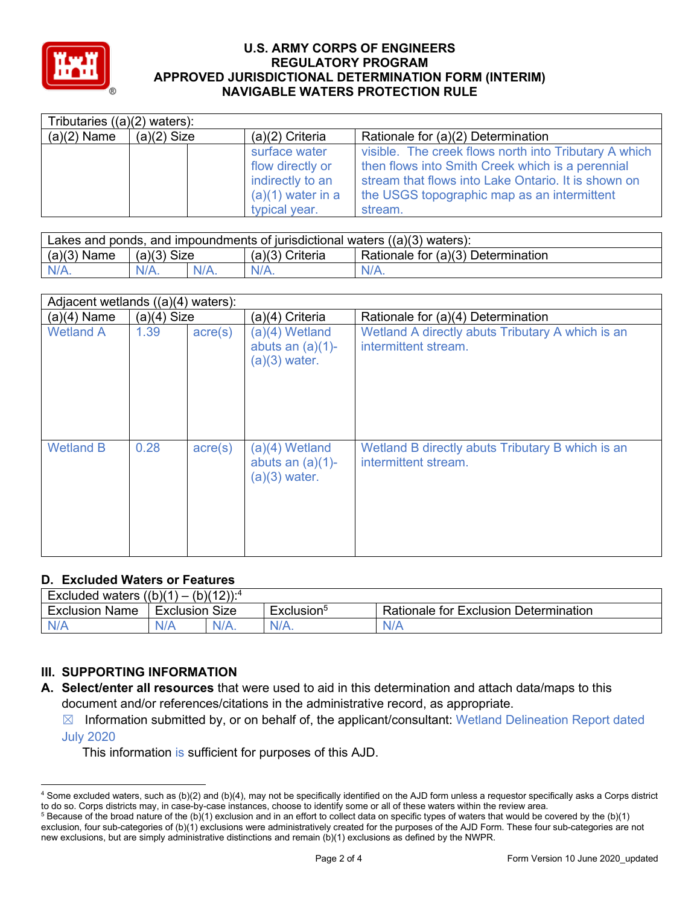

| Tributaries $((a)(2)$ waters): |               |                     |                                                       |  |  |
|--------------------------------|---------------|---------------------|-------------------------------------------------------|--|--|
| $(a)(2)$ Name                  | $(a)(2)$ Size | $(a)(2)$ Criteria   | Rationale for (a)(2) Determination                    |  |  |
|                                |               | surface water       | visible. The creek flows north into Tributary A which |  |  |
|                                |               | flow directly or    | then flows into Smith Creek which is a perennial      |  |  |
|                                |               | indirectly to an    | stream that flows into Lake Ontario. It is shown on   |  |  |
|                                |               | $(a)(1)$ water in a | the USGS topographic map as an intermittent           |  |  |
|                                |               | typical year.       | stream.                                               |  |  |

| Lakes and ponds, and impoundments of jurisdictional waters $((a)(3)$ waters): |               |         |                 |                                    |  |  |
|-------------------------------------------------------------------------------|---------------|---------|-----------------|------------------------------------|--|--|
| $(a)(3)$ Name                                                                 | $(a)(3)$ Size |         | (a)(3) Criteria | Rationale for (a)(3) Determination |  |  |
| $N/A$ .                                                                       |               | $N/A$ . | $N/A$ .         | $N/A$ .                            |  |  |

| Adjacent wetlands ((a)(4) waters): |               |                  |                                                            |                                                                          |  |
|------------------------------------|---------------|------------------|------------------------------------------------------------|--------------------------------------------------------------------------|--|
| $(a)(4)$ Name                      | $(a)(4)$ Size |                  | (a)(4) Criteria                                            | Rationale for (a)(4) Determination                                       |  |
| <b>Wetland A</b>                   | 1.39          | $\text{acre}(s)$ | (a)(4) Wetland<br>abuts an $(a)(1)$ -<br>$(a)(3)$ water.   | Wetland A directly abuts Tributary A which is an<br>intermittent stream. |  |
| <b>Wetland B</b>                   | 0.28          | $\text{acre}(s)$ | $(a)(4)$ Wetland<br>abuts an $(a)(1)$ -<br>$(a)(3)$ water. | Wetland B directly abuts Tributary B which is an<br>intermittent stream. |  |

## **D. Excluded Waters or Features**

| $(b)(12))$ : <sup>4</sup><br>((b)(1)<br>Excluded<br>waters<br>- |           |         |                             |                                              |  |
|-----------------------------------------------------------------|-----------|---------|-----------------------------|----------------------------------------------|--|
| <b>Exclusion Name</b>                                           | Exclusion | Size    | _<br>Exclusion <sup>o</sup> | <b>Rationale for Exclusion Determination</b> |  |
| N/A                                                             | N/A       | $N/A$ . | $N/A$ .                     | N/A                                          |  |

# **III. SUPPORTING INFORMATION**

- **A. Select/enter all resources** that were used to aid in this determination and attach data/maps to this document and/or references/citations in the administrative record, as appropriate.
	- $\boxtimes$  Information submitted by, or on behalf of, the applicant/consultant: Wetland Delineation Report dated

July 2020

This information is sufficient for purposes of this AJD.

<sup>4</sup> Some excluded waters, such as (b)(2) and (b)(4), may not be specifically identified on the AJD form unless a requestor specifically asks a Corps district to do so. Corps districts may, in case-by-case instances, choose to identify some or all of these waters within the review area.

 $5$  Because of the broad nature of the (b)(1) exclusion and in an effort to collect data on specific types of waters that would be covered by the (b)(1) exclusion, four sub-categories of (b)(1) exclusions were administratively created for the purposes of the AJD Form. These four sub-categories are not new exclusions, but are simply administrative distinctions and remain (b)(1) exclusions as defined by the NWPR.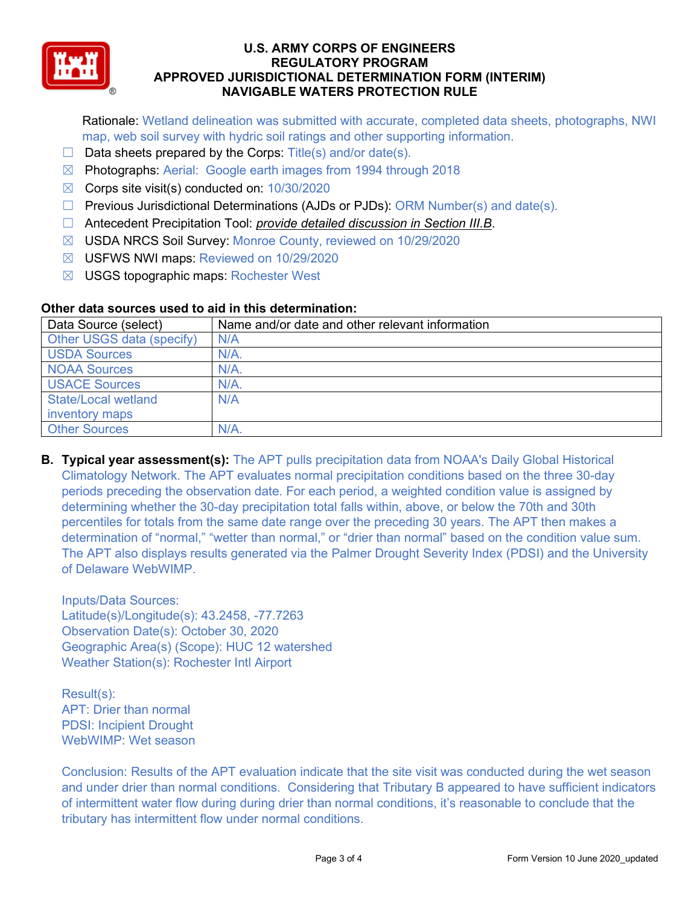

Rationale: Wetland delineation was submitted with accurate, completed data sheets, photographs, NWI map, web soil survey with hydric soil ratings and other supporting information.

- $\Box$  Data sheets prepared by the Corps: Title(s) and/or date(s).
- ☒ Photographs: Aerial: Google earth images from 1994 through 2018
- ☒ Corps site visit(s) conducted on: 10/30/2020
- ☐ Previous Jurisdictional Determinations (AJDs or PJDs): ORM Number(s) and date(s).
- ☐ Antecedent Precipitation Tool: *provide detailed discussion in Section III.B*.
- ☒ USDA NRCS Soil Survey: Monroe County, reviewed on 10/29/2020
- ☒ USFWS NWI maps: Reviewed on 10/29/2020
- ☒ USGS topographic maps: Rochester West

### **Other data sources used to aid in this determination:**

| Data Source (select)       | Name and/or date and other relevant information |
|----------------------------|-------------------------------------------------|
| Other USGS data (specify)  | N/A                                             |
| <b>USDA Sources</b>        | N/A.                                            |
| <b>NOAA Sources</b>        | $N/A$ .                                         |
| <b>USACE Sources</b>       | N/A.                                            |
| <b>State/Local wetland</b> | N/A                                             |
| inventory maps             |                                                 |
| <b>Other Sources</b>       | N/A                                             |

**B. Typical year assessment(s):** The APT pulls precipitation data from NOAA's Daily Global Historical Climatology Network. The APT evaluates normal precipitation conditions based on the three 30-day periods preceding the observation date. For each period, a weighted condition value is assigned by determining whether the 30-day precipitation total falls within, above, or below the 70th and 30th percentiles for totals from the same date range over the preceding 30 years. The APT then makes a determination of "normal," "wetter than normal," or "drier than normal" based on the condition value sum. The APT also displays results generated via the Palmer Drought Severity Index (PDSI) and the University of Delaware WebWIMP.

Inputs/Data Sources: Latitude(s)/Longitude(s): 43.2458, -77.7263 Observation Date(s): October 30, 2020 Geographic Area(s) (Scope): HUC 12 watershed Weather Station(s): Rochester Intl Airport

Result(s): APT: Drier than normal PDSI: Incipient Drought WebWIMP: Wet season

Conclusion: Results of the APT evaluation indicate that the site visit was conducted during the wet season and under drier than normal conditions. Considering that Tributary B appeared to have sufficient indicators of intermittent water flow during during drier than normal conditions, it's reasonable to conclude that the tributary has intermittent flow under normal conditions.